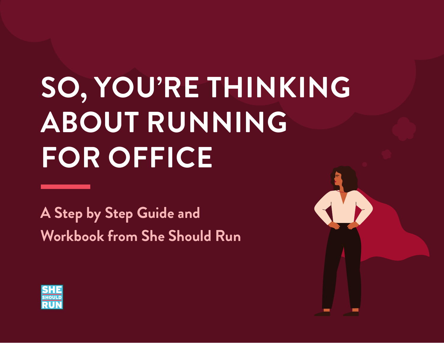# **SO, YOU'RE THINKING ABOUT RUNNING FOR OFFICE**

**A Step by Step Guide and Workbook from She Should Run**

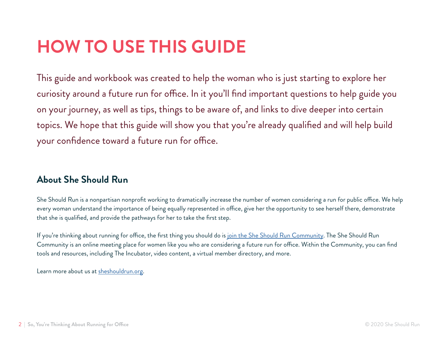# **HOW TO USE THIS GUIDE**

This guide and workbook was created to help the woman who is just starting to explore her curiosity around a future run for office. In it you'll find important questions to help guide you on your journey, as well as tips, things to be aware of, and links to dive deeper into certain topics. We hope that this guide will show you that you're already qualified and will help build your confidence toward a future run for office.

### **About She Should Run**

She Should Run is a nonpartisan nonprofit working to dramatically increase the number of women considering a run for public office. We help every woman understand the importance of being equally represented in office, give her the opportunity to see herself there, demonstrate that she is qualified, and provide the pathways for her to take the first step.

If you're thinking about running for office, the first thing you should do is [join the She Should Run Community.](https://www.sheshouldrun.org/the-community/) The She Should Run Community is an online meeting place for women like you who are considering a future run for office. Within the Community, you can find tools and resources, including The Incubator, video content, a virtual member directory, and more.

Learn more about us at [sheshouldrun.org.](http://sheshouldrun.org)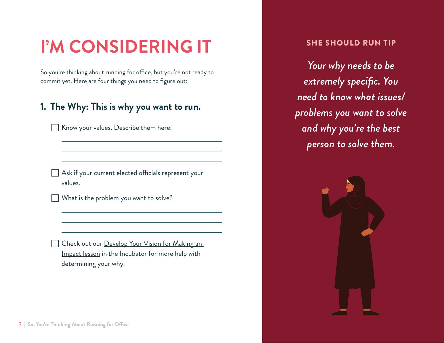# **I'M CONSIDERING IT**

So you're thinking about running for office, but you're not ready to commit yet. Here are four things you need to figure out:

### **1. The Why: This is why you want to run.**

Know your values. Describe them here:

Ask if your current elected officials represent your values.

What is the problem you want to solve?

Check out our Develop Your Vision for Making an [Impact lesson](https://community.sheshouldrun.org/lessons/develop-your-vision-for-making-an-impact/) in the Incubator for more help with determining your why.

#### SHE SHOULD RUN TIP

*Your why needs to be extremely specific. You need to know what issues/ problems you want to solve and why you're the best person to solve them.*

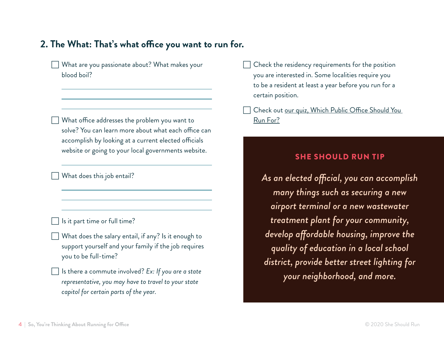### **2. The What: That's what office you want to run for.**

What are you passionate about? What makes your blood boil?

What office addresses the problem you want to solve? You can learn more about what each office can accomplish by looking at a current elected officials website or going to your local governments website.

What does this job entail?

Is it part time or full time?

- What does the salary entail, if any? Is it enough to support yourself and your family if the job requires you to be full-time?
- Is there a commute involved? Ex: If you are a state *representative, you may have to travel to your state capitol for certain parts of the year.*

Check the residency requirements for the position you are interested in. Some localities require you to be a resident at least a year before you run for a certain position.

Check out [our quiz,](https://www.sheshouldrun.org/starter-kit/which-office-should-you-run-for/) Which Public Office Should You Run For?

#### SHE SHOULD RUN TIP

*As an elected official, you can accomplish many things such as securing a new airport terminal or a new wastewater treatment plant for your community, develop affordable housing, improve the quality of education in a local school district, provide better street lighting for your neighborhood, and more.*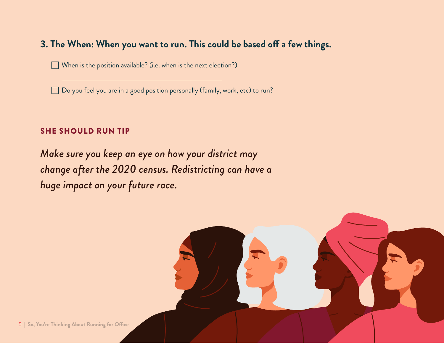### **3. The When: When you want to run. This could be based off a few things.**

When is the position available? (i.e. when is the next election?)

Do you feel you are in a good position personally (family, work, etc) to run?

#### SHE SHOULD RUN TIP

*Make sure you keep an eye on how your district may change after the 2020 census. Redistricting can have a huge impact on your future race.*

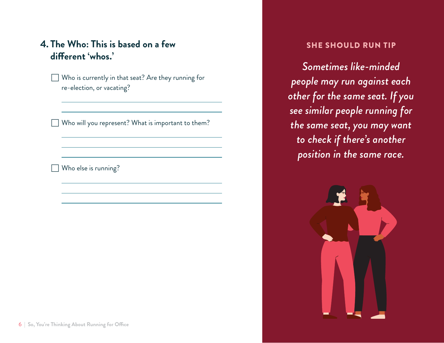### **4. The Who: This is based on a few different 'whos.'**

Who is currently in that seat? Are they running for re-election, or vacating?

Who will you represent? What is important to them?

Who else is running?

#### SHE SHOULD RUN TIP

*Sometimes like-minded people may run against each other for the same seat. If you see similar people running for the same seat, you may want to check if there's another position in the same race.*

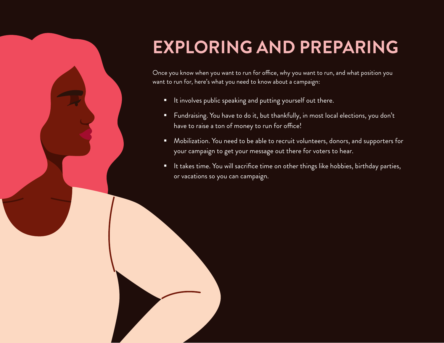# **EXPLORING AND PREPARING**

Once you know when you want to run for office, why you want to run, and what position you want to run for, here's what you need to know about a campaign:

**If** It involves public speaking and putting yourself out there.

7 | **So, You're Thinking About Running for Office** © 2020 She Should Run

- Fundraising. You have to do it, but thankfully, in most local elections, you don't have to raise a ton of money to run for office!
- **•** Mobilization. You need to be able to recruit volunteers, donors, and supporters for your campaign to get your message out there for voters to hear.
- **IF** It takes time. You will sacrifice time on other things like hobbies, birthday parties, or vacations so you can campaign.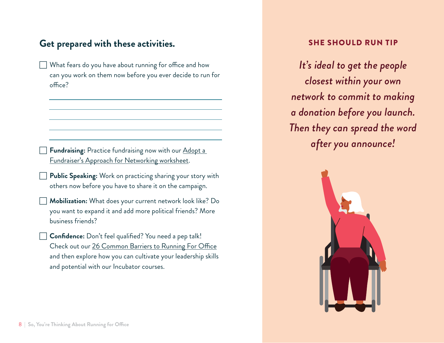### **Get prepared with these activities.**

What fears do you have about running for office and how can you work on them now before you ever decide to run for office?

Fundraising: Practice fundraising now with our Adopt a [Fundraiser's Approach for Networking worksheet](https://community.sheshouldrun.org/topic/worksheet-adopt-a-fundraisers-approach-to-networking/).

- Public Speaking: Work on practicing sharing your story with others now before you have to share it on the campaign.
- Mobilization: What does your current network look like? Do you want to expand it and add more political friends? More business friends?
- Confidence: Don't feel qualified? You need a pep talk! Check out our [26 Common Barriers to Running For Office](https://www.sheshouldrun.org/starter-kit/26-common-barriers-to-running-for-office/) and then explore how you can cultivate your leadership skills and potential with our Incubator courses.

#### SHE SHOULD RUN TIP

*It's ideal to get the people closest within your own network to commit to making a donation before you launch. Then they can spread the word after you announce!*

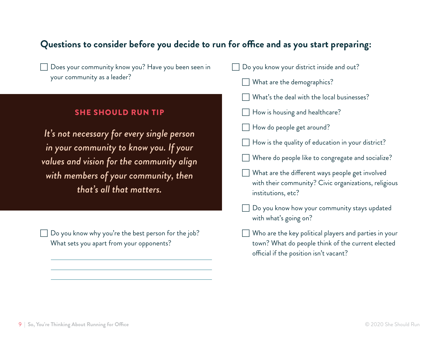### **Questions to consider before you decide to run for office and as you start preparing:**

Does your community know you? Have you been seen in your community as a leader?

#### SHE SHOULD RUN TIP

*It's not necessary for every single person in your community to know you. If your values and vision for the community align with members of your community, then that's all that matters.*

Do you know why you're the best person for the job? What sets you apart from your opponents?

| Do you know your district inside and out? |  |  |  |  |  |  |  |
|-------------------------------------------|--|--|--|--|--|--|--|
|-------------------------------------------|--|--|--|--|--|--|--|

- What are the demographics?
- What's the deal with the local businesses?
- How is housing and healthcare?
- How do people get around?
- How is the quality of education in your district?
- Where do people like to congregate and socialize?
- What are the different ways people get involved with their community? Civic organizations, religious institutions, etc?
- Do you know how your community stays updated with what's going on?
- Who are the key political players and parties in your town? What do people think of the current elected official if the position isn't vacant?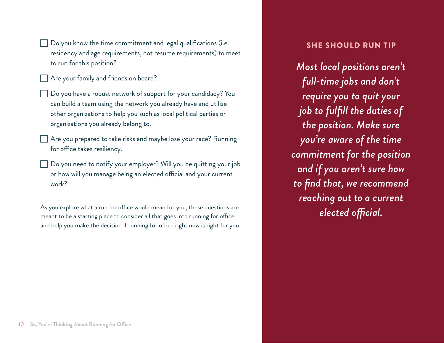Do you know the time commitment and legal qualifications (i.e. residency and age requirements, not resume requirements) to meet to run for this position?

Are your family and friends on board?

- Do you have a robust network of support for your candidacy? You can build a team using the network you already have and utilize other organizations to help you such as local political parties or organizations you already belong to.
- $\Box$  Are you prepared to take risks and maybe lose your race? Running for office takes resiliency.
- Do you need to notify your employer? Will you be quitting your job or how will you manage being an elected official and your current work?

As you explore what a run for office would mean for you, these questions are meant to be a starting place to consider all that goes into running for office and help you make the decision if running for office right now is right for you.

#### SHE SHOULD RUN TIP

*Most local positions aren't full-time jobs and don't require you to quit your job to fulfill the duties of the position. Make sure you're aware of the time commitment for the position and if you aren't sure how to find that, we recommend reaching out to a current elected official.*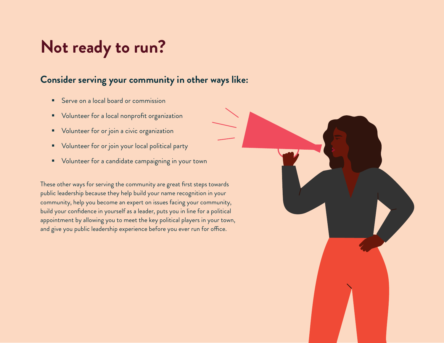# **Not ready to run?**

### **Consider serving your community in other ways like:**

- Serve on a local board or commission
- **•** Volunteer for a local nonprofit organization
- **Volunteer for or join a civic organization**
- **Volunteer for or join your local political party**
- **•** Volunteer for a candidate campaigning in your town

These other ways for serving the community are great first steps towards public leadership because they help build your name recognition in your community, help you become an expert on issues facing your community, build your confidence in yourself as a leader, puts you in line for a political appointment by allowing you to meet the key political players in your town, and give you public leadership experience before you ever run for office.

11 | **So, You're Thinking About Running for Office** © 2020 She Should Run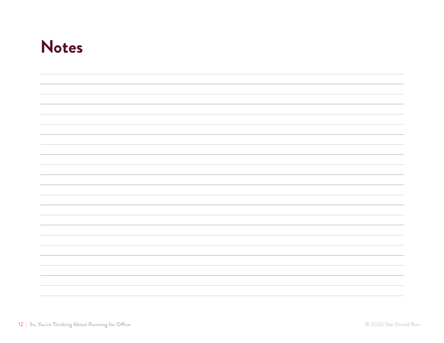# **Notes**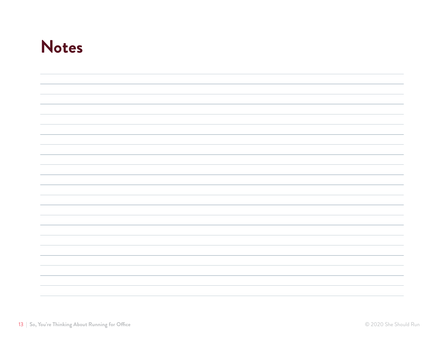# **Notes**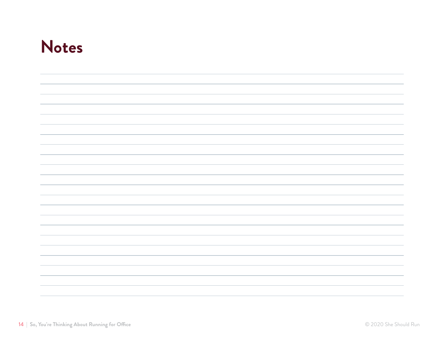# **Notes**